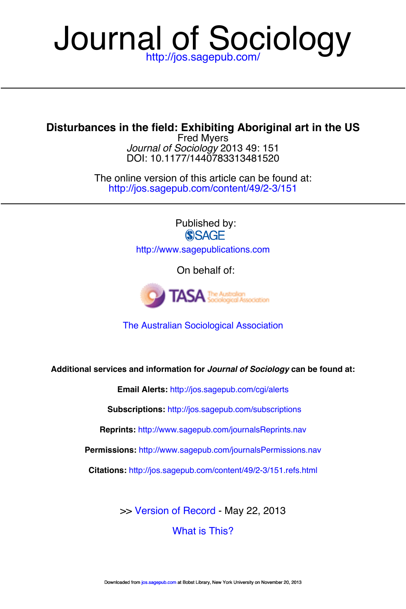# Jour[nal of Socio](http://www.tasa.org.au/)logy

**Disturbances in the field: Exhibiting Aboriginal art in the US**

DOI: 10.[1177/1440783313481520](http://jos.sagepub.com/cgi/alerts) *Journal of Sociology* 2013 49: 151 Fred Myers

<http://jos.sagepub.com/content/49/2-3/151> The online version of this article can be found at:

[Published by:](http://www.sagepub.com/journalsReprints.nav)<br>
SAGE

<http://www.sagepublications.com>

[On behalf of:](http://www.sagepub.com/journalsPermissions.nav)



[The Australian Sociological Association](http://www.tasa.org.au/)

**Additional services and information for** *Journal of Sociology* **can be found at:**

**Email Alerts:** <http://jos.sagepub.com/cgi/alerts>

**Subscriptions:** <http://jos.sagepub.com/subscriptions>

**Reprints:** <http://www.sagepub.com/journalsReprints.nav>

**Permissions:** <http://www.sagepub.com/journalsPermissions.nav>

**Citations:** <http://jos.sagepub.com/content/49/2-3/151.refs.html>

[What is This?](http://online.sagepub.com/site/sphelp/vorhelp.xhtml) >> [Version of Record -](http://jos.sagepub.com/content/49/2-3/151.full.pdf) May 22, 2013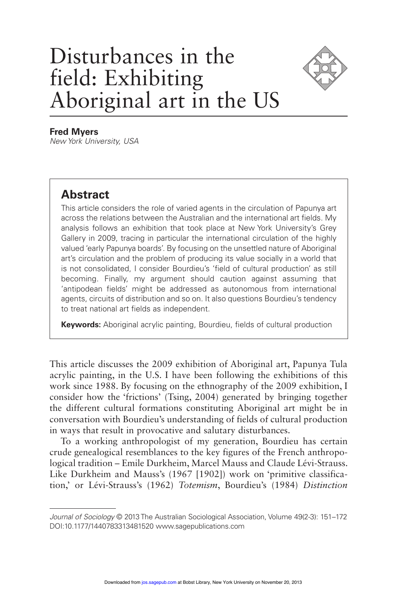# Disturbances in the field: Exhibiting Aboriginal art in the US



#### **Fred Myers**

New York University, USA

# **Abstract**

This article considers the role of varied agents in the circulation of Papunya art across the relations between the Australian and the international art fields. My analysis follows an exhibition that took place at New York University's Grey Gallery in 2009, tracing in particular the international circulation of the highly valued 'early Papunya boards'. By focusing on the unsettled nature of Aboriginal art's circulation and the problem of producing its value socially in a world that is not consolidated, I consider Bourdieu's 'field of cultural production' as still becoming. Finally, my argument should caution against assuming that 'antipodean fields' might be addressed as autonomous from international agents, circuits of distribution and so on. It also questions Bourdieu's tendency to treat national art fields as independent.

**Keywords:** Aboriginal acrylic painting, Bourdieu, fields of cultural production

This article discusses the 2009 exhibition of Aboriginal art, Papunya Tula acrylic painting, in the U.S. I have been following the exhibitions of this work since 1988. By focusing on the ethnography of the 2009 exhibition, I consider how the 'frictions' (Tsing, 2004) generated by bringing together the different cultural formations constituting Aboriginal art might be in conversation with Bourdieu's understanding of fields of cultural production in ways that result in provocative and salutary disturbances.

To a working anthropologist of my generation, Bourdieu has certain crude genealogical resemblances to the key figures of the French anthropological tradition – Emile Durkheim, Marcel Mauss and Claude Lévi-Strauss. Like Durkheim and Mauss's (1967 [1902]) work on 'primitive classification,' or Lévi-Strauss's (1962) *Totemism*, Bourdieu's (1984) *Distinction*

Journal of Sociology © 2013 The Australian Sociological Association, Volume 49(2-3): 151–172 DOI:10.1177/1440783313481520 www.sagepublications.com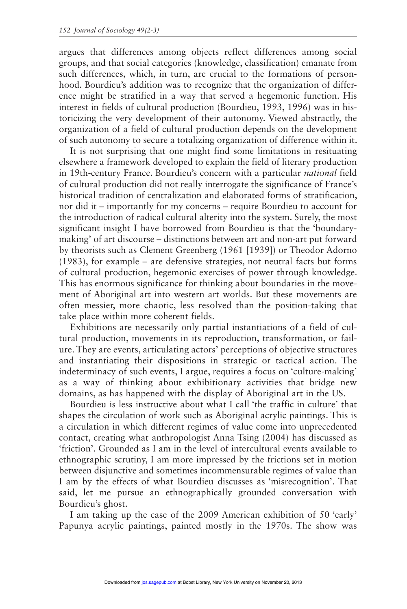argues that differences among objects reflect differences among social groups, and that social categories (knowledge, classification) emanate from such differences, which, in turn, are crucial to the formations of personhood. Bourdieu's addition was to recognize that the organization of difference might be stratified in a way that served a hegemonic function. His interest in fields of cultural production (Bourdieu, 1993, 1996) was in historicizing the very development of their autonomy. Viewed abstractly, the organization of a field of cultural production depends on the development of such autonomy to secure a totalizing organization of difference within it.

It is not surprising that one might find some limitations in resituating elsewhere a framework developed to explain the field of literary production in 19th-century France. Bourdieu's concern with a particular *national* field of cultural production did not really interrogate the significance of France's historical tradition of centralization and elaborated forms of stratification, nor did it – importantly for my concerns – require Bourdieu to account for the introduction of radical cultural alterity into the system. Surely, the most significant insight I have borrowed from Bourdieu is that the 'boundarymaking' of art discourse – distinctions between art and non-art put forward by theorists such as Clement Greenberg (1961 [1939]) or Theodor Adorno (1983), for example – are defensive strategies, not neutral facts but forms of cultural production, hegemonic exercises of power through knowledge. This has enormous significance for thinking about boundaries in the movement of Aboriginal art into western art worlds. But these movements are often messier, more chaotic, less resolved than the position-taking that take place within more coherent fields.

Exhibitions are necessarily only partial instantiations of a field of cultural production, movements in its reproduction, transformation, or failure. They are events, articulating actors' perceptions of objective structures and instantiating their dispositions in strategic or tactical action. The indeterminacy of such events, I argue, requires a focus on 'culture-making' as a way of thinking about exhibitionary activities that bridge new domains, as has happened with the display of Aboriginal art in the US.

Bourdieu is less instructive about what I call 'the traffic in culture' that shapes the circulation of work such as Aboriginal acrylic paintings. This is a circulation in which different regimes of value come into unprecedented contact, creating what anthropologist Anna Tsing (2004) has discussed as 'friction'. Grounded as I am in the level of intercultural events available to ethnographic scrutiny, I am more impressed by the frictions set in motion between disjunctive and sometimes incommensurable regimes of value than I am by the effects of what Bourdieu discusses as 'misrecognition'. That said, let me pursue an ethnographically grounded conversation with Bourdieu's ghost.

I am taking up the case of the 2009 American exhibition of 50 'early' Papunya acrylic paintings, painted mostly in the 1970s. The show was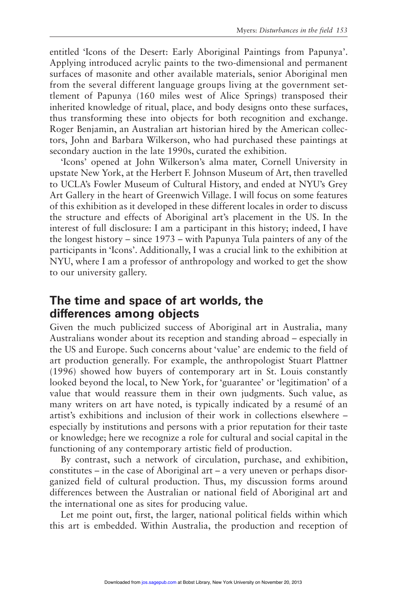entitled 'Icons of the Desert: Early Aboriginal Paintings from Papunya'. Applying introduced acrylic paints to the two-dimensional and permanent surfaces of masonite and other available materials, senior Aboriginal men from the several different language groups living at the government settlement of Papunya (160 miles west of Alice Springs) transposed their inherited knowledge of ritual, place, and body designs onto these surfaces, thus transforming these into objects for both recognition and exchange. Roger Benjamin, an Australian art historian hired by the American collectors, John and Barbara Wilkerson, who had purchased these paintings at secondary auction in the late 1990s, curated the exhibition.

'Icons' opened at John Wilkerson's alma mater, Cornell University in upstate New York, at the Herbert F. Johnson Museum of Art, then travelled to UCLA's Fowler Museum of Cultural History, and ended at NYU's Grey Art Gallery in the heart of Greenwich Village. I will focus on some features of this exhibition as it developed in these different locales in order to discuss the structure and effects of Aboriginal art's placement in the US. In the interest of full disclosure: I am a participant in this history; indeed, I have the longest history – since 1973 – with Papunya Tula painters of any of the participants in 'Icons'. Additionally, I was a crucial link to the exhibition at NYU, where I am a professor of anthropology and worked to get the show to our university gallery.

# **The time and space of art worlds, the differences among objects**

Given the much publicized success of Aboriginal art in Australia, many Australians wonder about its reception and standing abroad – especially in the US and Europe. Such concerns about 'value' are endemic to the field of art production generally. For example, the anthropologist Stuart Plattner (1996) showed how buyers of contemporary art in St. Louis constantly looked beyond the local, to New York, for 'guarantee' or 'legitimation' of a value that would reassure them in their own judgments. Such value, as many writers on art have noted, is typically indicated by a resumé of an artist's exhibitions and inclusion of their work in collections elsewhere – especially by institutions and persons with a prior reputation for their taste or knowledge; here we recognize a role for cultural and social capital in the functioning of any contemporary artistic field of production.

By contrast, such a network of circulation, purchase, and exhibition, constitutes – in the case of Aboriginal art – a very uneven or perhaps disorganized field of cultural production. Thus, my discussion forms around differences between the Australian or national field of Aboriginal art and the international one as sites for producing value.

Let me point out, first, the larger, national political fields within which this art is embedded. Within Australia, the production and reception of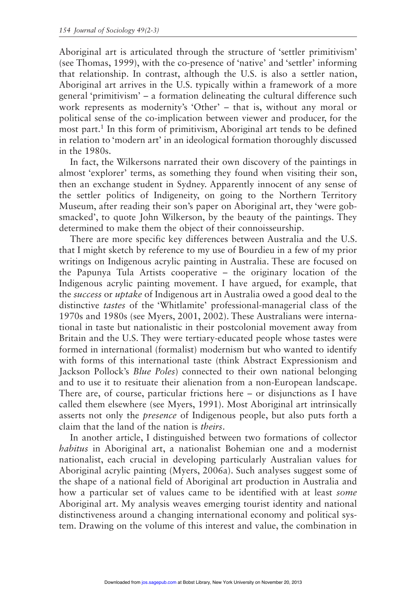Aboriginal art is articulated through the structure of 'settler primitivism' (see Thomas, 1999), with the co-presence of 'native' and 'settler' informing that relationship. In contrast, although the U.S. is also a settler nation, Aboriginal art arrives in the U.S. typically within a framework of a more general 'primitivism' – a formation delineating the cultural difference such work represents as modernity's 'Other' – that is, without any moral or political sense of the co-implication between viewer and producer, for the most part.1 In this form of primitivism, Aboriginal art tends to be defined in relation to 'modern art' in an ideological formation thoroughly discussed in the 1980s.

In fact, the Wilkersons narrated their own discovery of the paintings in almost 'explorer' terms, as something they found when visiting their son, then an exchange student in Sydney. Apparently innocent of any sense of the settler politics of Indigeneity, on going to the Northern Territory Museum, after reading their son's paper on Aboriginal art, they 'were gobsmacked', to quote John Wilkerson, by the beauty of the paintings. They determined to make them the object of their connoisseurship.

There are more specific key differences between Australia and the U.S. that I might sketch by reference to my use of Bourdieu in a few of my prior writings on Indigenous acrylic painting in Australia. These are focused on the Papunya Tula Artists cooperative – the originary location of the Indigenous acrylic painting movement. I have argued, for example, that the *success* or *uptake* of Indigenous art in Australia owed a good deal to the distinctive *tastes* of the 'Whitlamite' professional-managerial class of the 1970s and 1980s (see Myers, 2001, 2002). These Australians were international in taste but nationalistic in their postcolonial movement away from Britain and the U.S. They were tertiary-educated people whose tastes were formed in international (formalist) modernism but who wanted to identify with forms of this international taste (think Abstract Expressionism and Jackson Pollock's *Blue Poles*) connected to their own national belonging and to use it to resituate their alienation from a non-European landscape. There are, of course, particular frictions here – or disjunctions as I have called them elsewhere (see Myers, 1991). Most Aboriginal art intrinsically asserts not only the *presence* of Indigenous people, but also puts forth a claim that the land of the nation is *theirs*.

In another article, I distinguished between two formations of collector *habitus* in Aboriginal art, a nationalist Bohemian one and a modernist nationalist, each crucial in developing particularly Australian values for Aboriginal acrylic painting (Myers, 2006a). Such analyses suggest some of the shape of a national field of Aboriginal art production in Australia and how a particular set of values came to be identified with at least *some* Aboriginal art. My analysis weaves emerging tourist identity and national distinctiveness around a changing international economy and political system. Drawing on the volume of this interest and value, the combination in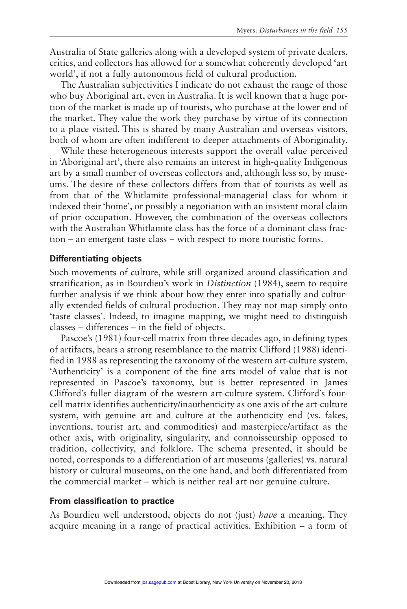Australia of State galleries along with a developed system of private dealers, critics, and collectors has allowed for a somewhat coherently developed 'art world', if not a fully autonomous field of cultural production.

The Australian subjectivities I indicate do not exhaust the range of those who buy Aboriginal art, even in Australia. It is well known that a huge portion of the market is made up of tourists, who purchase at the lower end of the market. They value the work they purchase by virtue of its connection to a place visited. This is shared by many Australian and overseas visitors, both of whom are often indifferent to deeper attachments of Aboriginality.

While these heterogeneous interests support the overall value perceived in 'Aboriginal art', there also remains an interest in high-quality Indigenous art by a small number of overseas collectors and, although less so, by museums. The desire of these collectors differs from that of tourists as well as from that of the Whitlamite professional-managerial class for whom it indexed their 'home', or possibly a negotiation with an insistent moral claim of prior occupation. However, the combination of the overseas collectors with the Australian Whitlamite class has the force of a dominant class fraction – an emergent taste class – with respect to more touristic forms.

#### **Differentiating objects**

Such movements of culture, while still organized around classification and stratification, as in Bourdieu's work in *Distinction* (1984), seem to require further analysis if we think about how they enter into spatially and culturally extended fields of cultural production. They may not map simply onto 'taste classes'. Indeed, to imagine mapping, we might need to distinguish classes – differences – in the field of objects.

Pascoe's (1981) four-cell matrix from three decades ago, in defining types of artifacts, bears a strong resemblance to the matrix Clifford (1988) identified in 1988 as representing the taxonomy of the western art-culture system. 'Authenticity' is a component of the fine arts model of value that is not represented in Pascoe's taxonomy, but is better represented in James Clifford's fuller diagram of the western art-culture system. Clifford's fourcell matrix identifies authenticity/inauthenticity as one axis of the art-culture system, with genuine art and culture at the authenticity end (vs. fakes, inventions, tourist art, and commodities) and masterpiece/artifact as the other axis, with originality, singularity, and connoisseurship opposed to tradition, collectivity, and folklore. The schema presented, it should be noted, corresponds to a differentiation of art museums (galleries) vs. natural history or cultural museums, on the one hand, and both differentiated from the commercial market – which is neither real art nor genuine culture.

#### **From classification to practice**

As Bourdieu well understood, objects do not (just) *have* a meaning. They acquire meaning in a range of practical activities. Exhibition – a form of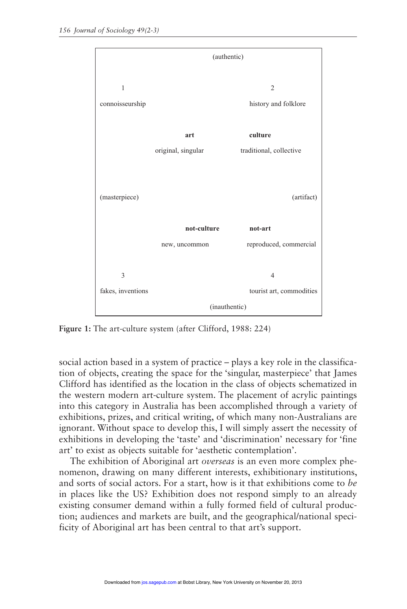

**Figure 1:** The art-culture system (after Clifford, 1988: 224)

social action based in a system of practice – plays a key role in the classification of objects, creating the space for the 'singular, masterpiece' that James Clifford has identified as the location in the class of objects schematized in the western modern art-culture system. The placement of acrylic paintings into this category in Australia has been accomplished through a variety of exhibitions, prizes, and critical writing, of which many non-Australians are ignorant. Without space to develop this, I will simply assert the necessity of exhibitions in developing the 'taste' and 'discrimination' necessary for 'fine art' to exist as objects suitable for 'aesthetic contemplation'.

The exhibition of Aboriginal art *overseas* is an even more complex phenomenon, drawing on many different interests, exhibitionary institutions, and sorts of social actors. For a start, how is it that exhibitions come to *be* in places like the US? Exhibition does not respond simply to an already existing consumer demand within a fully formed field of cultural production; audiences and markets are built, and the geographical/national specificity of Aboriginal art has been central to that art's support.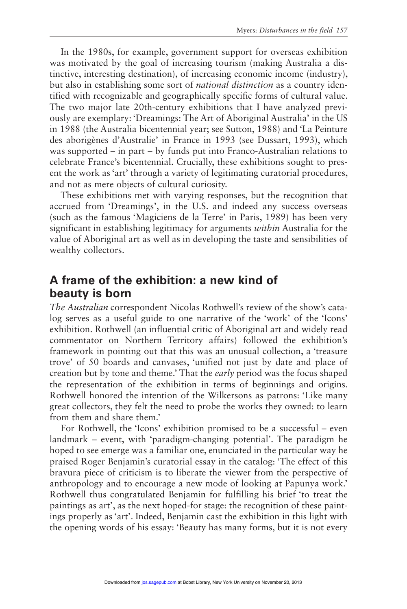In the 1980s, for example, government support for overseas exhibition was motivated by the goal of increasing tourism (making Australia a distinctive, interesting destination), of increasing economic income (industry), but also in establishing some sort of *national distinction* as a country identified with recognizable and geographically specific forms of cultural value. The two major late 20th-century exhibitions that I have analyzed previously are exemplary: 'Dreamings: The Art of Aboriginal Australia' in the US in 1988 (the Australia bicentennial year; see Sutton, 1988) and 'La Peinture des aborigènes d'Australie' in France in 1993 (see Dussart, 1993), which was supported – in part – by funds put into Franco-Australian relations to celebrate France's bicentennial. Crucially, these exhibitions sought to present the work as 'art' through a variety of legitimating curatorial procedures, and not as mere objects of cultural curiosity.

These exhibitions met with varying responses, but the recognition that accrued from 'Dreamings', in the U.S. and indeed any success overseas (such as the famous 'Magiciens de la Terre' in Paris, 1989) has been very significant in establishing legitimacy for arguments *within* Australia for the value of Aboriginal art as well as in developing the taste and sensibilities of wealthy collectors.

# **A frame of the exhibition: a new kind of beauty is born**

*The Australian* correspondent Nicolas Rothwell's review of the show's catalog serves as a useful guide to one narrative of the 'work' of the 'Icons' exhibition. Rothwell (an influential critic of Aboriginal art and widely read commentator on Northern Territory affairs) followed the exhibition's framework in pointing out that this was an unusual collection, a 'treasure trove' of 50 boards and canvases, 'unified not just by date and place of creation but by tone and theme.' That the *early* period was the focus shaped the representation of the exhibition in terms of beginnings and origins. Rothwell honored the intention of the Wilkersons as patrons: 'Like many great collectors, they felt the need to probe the works they owned: to learn from them and share them.'

For Rothwell, the 'Icons' exhibition promised to be a successful – even landmark – event, with 'paradigm-changing potential'. The paradigm he hoped to see emerge was a familiar one, enunciated in the particular way he praised Roger Benjamin's curatorial essay in the catalog: 'The effect of this bravura piece of criticism is to liberate the viewer from the perspective of anthropology and to encourage a new mode of looking at Papunya work.' Rothwell thus congratulated Benjamin for fulfilling his brief 'to treat the paintings as art', as the next hoped-for stage: the recognition of these paintings properly as 'art'. Indeed, Benjamin cast the exhibition in this light with the opening words of his essay: 'Beauty has many forms, but it is not every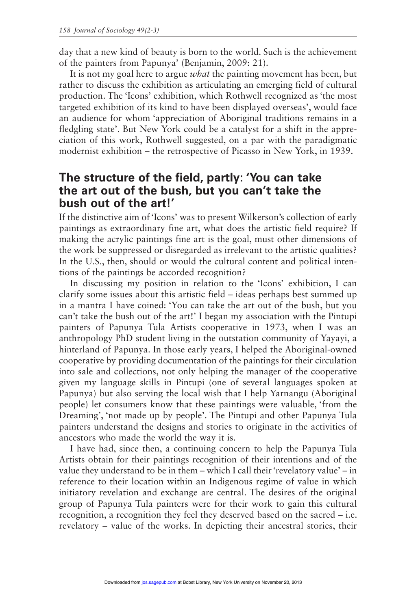day that a new kind of beauty is born to the world. Such is the achievement of the painters from Papunya' (Benjamin, 2009: 21).

It is not my goal here to argue *what* the painting movement has been, but rather to discuss the exhibition as articulating an emerging field of cultural production. The 'Icons' exhibition, which Rothwell recognized as 'the most targeted exhibition of its kind to have been displayed overseas', would face an audience for whom 'appreciation of Aboriginal traditions remains in a fledgling state'. But New York could be a catalyst for a shift in the appreciation of this work, Rothwell suggested, on a par with the paradigmatic modernist exhibition – the retrospective of Picasso in New York, in 1939.

## **The structure of the field, partly: 'You can take the art out of the bush, but you can't take the bush out of the art!'**

If the distinctive aim of 'Icons' was to present Wilkerson's collection of early paintings as extraordinary fine art, what does the artistic field require? If making the acrylic paintings fine art is the goal, must other dimensions of the work be suppressed or disregarded as irrelevant to the artistic qualities? In the U.S., then, should or would the cultural content and political intentions of the paintings be accorded recognition?

In discussing my position in relation to the 'Icons' exhibition, I can clarify some issues about this artistic field – ideas perhaps best summed up in a mantra I have coined: 'You can take the art out of the bush, but you can't take the bush out of the art!' I began my association with the Pintupi painters of Papunya Tula Artists cooperative in 1973, when I was an anthropology PhD student living in the outstation community of Yayayi, a hinterland of Papunya. In those early years, I helped the Aboriginal-owned cooperative by providing documentation of the paintings for their circulation into sale and collections, not only helping the manager of the cooperative given my language skills in Pintupi (one of several languages spoken at Papunya) but also serving the local wish that I help Yarnangu (Aboriginal people) let consumers know that these paintings were valuable, 'from the Dreaming', 'not made up by people'. The Pintupi and other Papunya Tula painters understand the designs and stories to originate in the activities of ancestors who made the world the way it is.

I have had, since then, a continuing concern to help the Papunya Tula Artists obtain for their paintings recognition of their intentions and of the value they understand to be in them – which I call their 'revelatory value' – in reference to their location within an Indigenous regime of value in which initiatory revelation and exchange are central. The desires of the original group of Papunya Tula painters were for their work to gain this cultural recognition, a recognition they feel they deserved based on the sacred – i.e. revelatory – value of the works. In depicting their ancestral stories, their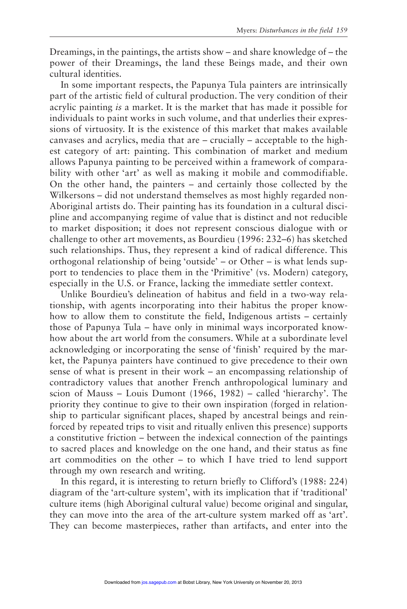Dreamings, in the paintings, the artists show – and share knowledge of – the power of their Dreamings, the land these Beings made, and their own cultural identities.

In some important respects, the Papunya Tula painters are intrinsically part of the artistic field of cultural production. The very condition of their acrylic painting *is* a market. It is the market that has made it possible for individuals to paint works in such volume, and that underlies their expressions of virtuosity. It is the existence of this market that makes available canvases and acrylics, media that are – crucially – acceptable to the highest category of art: painting. This combination of market and medium allows Papunya painting to be perceived within a framework of comparability with other 'art' as well as making it mobile and commodifiable. On the other hand, the painters – and certainly those collected by the Wilkersons – did not understand themselves as most highly regarded non-Aboriginal artists do. Their painting has its foundation in a cultural discipline and accompanying regime of value that is distinct and not reducible to market disposition; it does not represent conscious dialogue with or challenge to other art movements, as Bourdieu (1996: 232–6) has sketched such relationships. Thus, they represent a kind of radical difference. This orthogonal relationship of being 'outside' – or Other – is what lends support to tendencies to place them in the 'Primitive' (vs. Modern) category, especially in the U.S. or France, lacking the immediate settler context.

Unlike Bourdieu's delineation of habitus and field in a two-way relationship, with agents incorporating into their habitus the proper knowhow to allow them to constitute the field, Indigenous artists – certainly those of Papunya Tula – have only in minimal ways incorporated knowhow about the art world from the consumers. While at a subordinate level acknowledging or incorporating the sense of 'finish' required by the market, the Papunya painters have continued to give precedence to their own sense of what is present in their work – an encompassing relationship of contradictory values that another French anthropological luminary and scion of Mauss – Louis Dumont (1966, 1982) – called 'hierarchy'. The priority they continue to give to their own inspiration (forged in relationship to particular significant places, shaped by ancestral beings and reinforced by repeated trips to visit and ritually enliven this presence) supports a constitutive friction – between the indexical connection of the paintings to sacred places and knowledge on the one hand, and their status as fine art commodities on the other – to which I have tried to lend support through my own research and writing.

In this regard, it is interesting to return briefly to Clifford's (1988: 224) diagram of the 'art-culture system', with its implication that if 'traditional' culture items (high Aboriginal cultural value) become original and singular, they can move into the area of the art-culture system marked off as 'art'. They can become masterpieces, rather than artifacts, and enter into the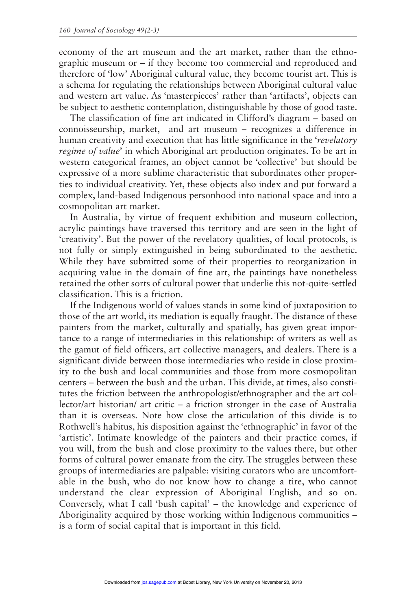economy of the art museum and the art market, rather than the ethnographic museum or – if they become too commercial and reproduced and therefore of 'low' Aboriginal cultural value, they become tourist art. This is a schema for regulating the relationships between Aboriginal cultural value and western art value. As 'masterpieces' rather than 'artifacts', objects can be subject to aesthetic contemplation, distinguishable by those of good taste.

The classification of fine art indicated in Clifford's diagram – based on connoisseurship, market, and art museum – recognizes a difference in human creativity and execution that has little significance in the '*revelatory regime of value*' in which Aboriginal art production originates. To be art in western categorical frames, an object cannot be 'collective' but should be expressive of a more sublime characteristic that subordinates other properties to individual creativity. Yet, these objects also index and put forward a complex, land-based Indigenous personhood into national space and into a cosmopolitan art market.

In Australia, by virtue of frequent exhibition and museum collection, acrylic paintings have traversed this territory and are seen in the light of 'creativity'. But the power of the revelatory qualities, of local protocols, is not fully or simply extinguished in being subordinated to the aesthetic. While they have submitted some of their properties to reorganization in acquiring value in the domain of fine art, the paintings have nonetheless retained the other sorts of cultural power that underlie this not-quite-settled classification. This is a friction.

If the Indigenous world of values stands in some kind of juxtaposition to those of the art world, its mediation is equally fraught. The distance of these painters from the market, culturally and spatially, has given great importance to a range of intermediaries in this relationship: of writers as well as the gamut of field officers, art collective managers, and dealers. There is a significant divide between those intermediaries who reside in close proximity to the bush and local communities and those from more cosmopolitan centers – between the bush and the urban. This divide, at times, also constitutes the friction between the anthropologist/ethnographer and the art collector/art historian/ art critic – a friction stronger in the case of Australia than it is overseas. Note how close the articulation of this divide is to Rothwell's habitus, his disposition against the 'ethnographic' in favor of the 'artistic'. Intimate knowledge of the painters and their practice comes, if you will, from the bush and close proximity to the values there, but other forms of cultural power emanate from the city. The struggles between these groups of intermediaries are palpable: visiting curators who are uncomfortable in the bush, who do not know how to change a tire, who cannot understand the clear expression of Aboriginal English, and so on. Conversely, what I call 'bush capital' – the knowledge and experience of Aboriginality acquired by those working within Indigenous communities – is a form of social capital that is important in this field.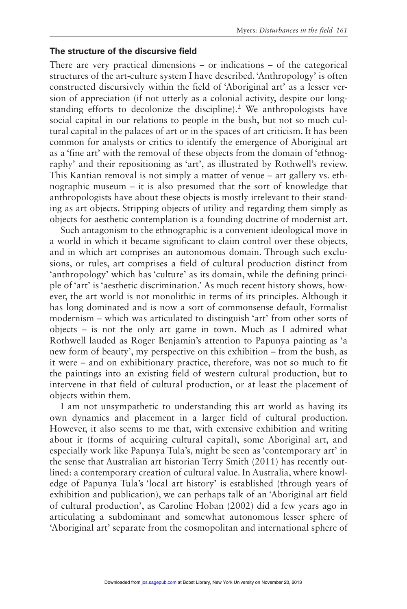#### **The structure of the discursive field**

There are very practical dimensions – or indications – of the categorical structures of the art-culture system I have described. 'Anthropology' is often constructed discursively within the field of 'Aboriginal art' as a lesser version of appreciation (if not utterly as a colonial activity, despite our longstanding efforts to decolonize the discipline).<sup>2</sup> We anthropologists have social capital in our relations to people in the bush, but not so much cultural capital in the palaces of art or in the spaces of art criticism. It has been common for analysts or critics to identify the emergence of Aboriginal art as a 'fine art' with the removal of these objects from the domain of 'ethnography' and their repositioning as 'art', as illustrated by Rothwell's review. This Kantian removal is not simply a matter of venue – art gallery vs. ethnographic museum – it is also presumed that the sort of knowledge that anthropologists have about these objects is mostly irrelevant to their standing as art objects. Stripping objects of utility and regarding them simply as objects for aesthetic contemplation is a founding doctrine of modernist art.

Such antagonism to the ethnographic is a convenient ideological move in a world in which it became significant to claim control over these objects, and in which art comprises an autonomous domain. Through such exclusions, or rules, art comprises a field of cultural production distinct from 'anthropology' which has 'culture' as its domain, while the defining principle of 'art' is 'aesthetic discrimination.' As much recent history shows, however, the art world is not monolithic in terms of its principles. Although it has long dominated and is now a sort of commonsense default, Formalist modernism – which was articulated to distinguish 'art' from other sorts of objects – is not the only art game in town. Much as I admired what Rothwell lauded as Roger Benjamin's attention to Papunya painting as 'a new form of beauty', my perspective on this exhibition – from the bush, as it were – and on exhibitionary practice, therefore, was not so much to fit the paintings into an existing field of western cultural production, but to intervene in that field of cultural production, or at least the placement of objects within them.

I am not unsympathetic to understanding this art world as having its own dynamics and placement in a larger field of cultural production. However, it also seems to me that, with extensive exhibition and writing about it (forms of acquiring cultural capital), some Aboriginal art, and especially work like Papunya Tula's, might be seen as 'contemporary art' in the sense that Australian art historian Terry Smith (2011) has recently outlined: a contemporary creation of cultural value. In Australia, where knowledge of Papunya Tula's 'local art history' is established (through years of exhibition and publication), we can perhaps talk of an 'Aboriginal art field of cultural production', as Caroline Hoban (2002) did a few years ago in articulating a subdominant and somewhat autonomous lesser sphere of 'Aboriginal art' separate from the cosmopolitan and international sphere of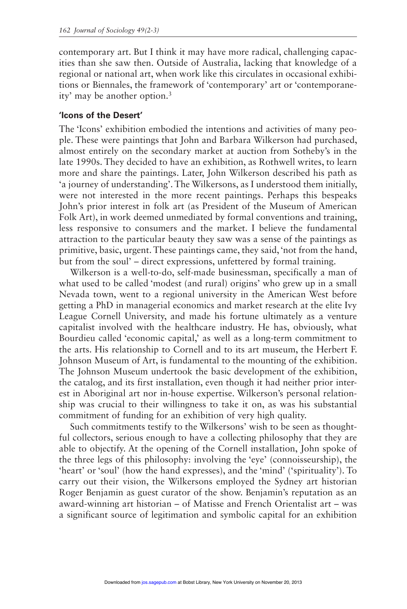contemporary art. But I think it may have more radical, challenging capacities than she saw then. Outside of Australia, lacking that knowledge of a regional or national art, when work like this circulates in occasional exhibitions or Biennales, the framework of 'contemporary' art or 'contemporaneity' may be another option.3

#### **'Icons of the Desert'**

The 'Icons' exhibition embodied the intentions and activities of many people. These were paintings that John and Barbara Wilkerson had purchased, almost entirely on the secondary market at auction from Sotheby's in the late 1990s. They decided to have an exhibition, as Rothwell writes, to learn more and share the paintings. Later, John Wilkerson described his path as 'a journey of understanding'. The Wilkersons, as I understood them initially, were not interested in the more recent paintings. Perhaps this bespeaks John's prior interest in folk art (as President of the Museum of American Folk Art), in work deemed unmediated by formal conventions and training, less responsive to consumers and the market. I believe the fundamental attraction to the particular beauty they saw was a sense of the paintings as primitive, basic, urgent. These paintings came, they said, 'not from the hand, but from the soul' – direct expressions, unfettered by formal training.

Wilkerson is a well-to-do, self-made businessman, specifically a man of what used to be called 'modest (and rural) origins' who grew up in a small Nevada town, went to a regional university in the American West before getting a PhD in managerial economics and market research at the elite Ivy League Cornell University, and made his fortune ultimately as a venture capitalist involved with the healthcare industry. He has, obviously, what Bourdieu called 'economic capital,' as well as a long-term commitment to the arts. His relationship to Cornell and to its art museum, the Herbert F. Johnson Museum of Art, is fundamental to the mounting of the exhibition. The Johnson Museum undertook the basic development of the exhibition, the catalog, and its first installation, even though it had neither prior interest in Aboriginal art nor in-house expertise. Wilkerson's personal relationship was crucial to their willingness to take it on, as was his substantial commitment of funding for an exhibition of very high quality.

Such commitments testify to the Wilkersons' wish to be seen as thoughtful collectors, serious enough to have a collecting philosophy that they are able to objectify. At the opening of the Cornell installation, John spoke of the three legs of this philosophy: involving the 'eye' (connoisseurship), the 'heart' or 'soul' (how the hand expresses), and the 'mind' ('spirituality'). To carry out their vision, the Wilkersons employed the Sydney art historian Roger Benjamin as guest curator of the show. Benjamin's reputation as an award-winning art historian – of Matisse and French Orientalist art – was a significant source of legitimation and symbolic capital for an exhibition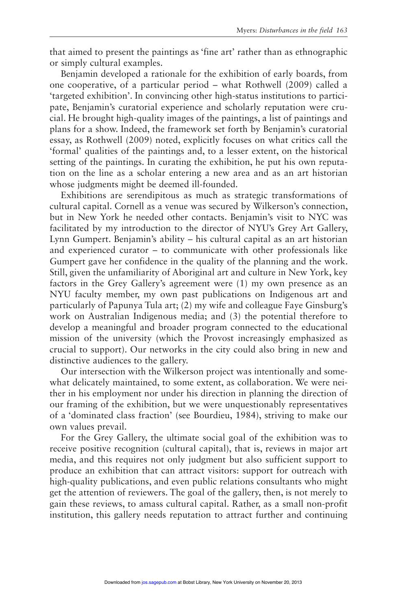that aimed to present the paintings as 'fine art' rather than as ethnographic or simply cultural examples.

Benjamin developed a rationale for the exhibition of early boards, from one cooperative, of a particular period – what Rothwell (2009) called a 'targeted exhibition'. In convincing other high-status institutions to participate, Benjamin's curatorial experience and scholarly reputation were crucial. He brought high-quality images of the paintings, a list of paintings and plans for a show. Indeed, the framework set forth by Benjamin's curatorial essay, as Rothwell (2009) noted, explicitly focuses on what critics call the 'formal' qualities of the paintings and, to a lesser extent, on the historical setting of the paintings. In curating the exhibition, he put his own reputation on the line as a scholar entering a new area and as an art historian whose judgments might be deemed ill-founded.

Exhibitions are serendipitous as much as strategic transformations of cultural capital. Cornell as a venue was secured by Wilkerson's connection, but in New York he needed other contacts. Benjamin's visit to NYC was facilitated by my introduction to the director of NYU's Grey Art Gallery, Lynn Gumpert. Benjamin's ability – his cultural capital as an art historian and experienced curator – to communicate with other professionals like Gumpert gave her confidence in the quality of the planning and the work. Still, given the unfamiliarity of Aboriginal art and culture in New York, key factors in the Grey Gallery's agreement were (1) my own presence as an NYU faculty member, my own past publications on Indigenous art and particularly of Papunya Tula art; (2) my wife and colleague Faye Ginsburg's work on Australian Indigenous media; and (3) the potential therefore to develop a meaningful and broader program connected to the educational mission of the university (which the Provost increasingly emphasized as crucial to support). Our networks in the city could also bring in new and distinctive audiences to the gallery.

Our intersection with the Wilkerson project was intentionally and somewhat delicately maintained, to some extent, as collaboration. We were neither in his employment nor under his direction in planning the direction of our framing of the exhibition, but we were unquestionably representatives of a 'dominated class fraction' (see Bourdieu, 1984), striving to make our own values prevail.

For the Grey Gallery, the ultimate social goal of the exhibition was to receive positive recognition (cultural capital), that is, reviews in major art media, and this requires not only judgment but also sufficient support to produce an exhibition that can attract visitors: support for outreach with high-quality publications, and even public relations consultants who might get the attention of reviewers. The goal of the gallery, then, is not merely to gain these reviews, to amass cultural capital. Rather, as a small non-profit institution, this gallery needs reputation to attract further and continuing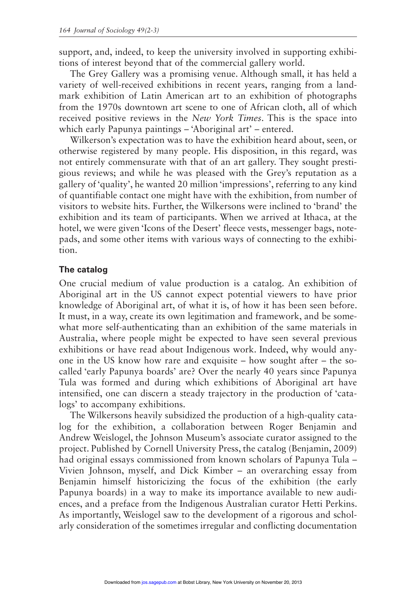support, and, indeed, to keep the university involved in supporting exhibitions of interest beyond that of the commercial gallery world.

The Grey Gallery was a promising venue. Although small, it has held a variety of well-received exhibitions in recent years, ranging from a landmark exhibition of Latin American art to an exhibition of photographs from the 1970s downtown art scene to one of African cloth, all of which received positive reviews in the *New York Times*. This is the space into which early Papunya paintings – 'Aboriginal art' – entered.

Wilkerson's expectation was to have the exhibition heard about, seen, or otherwise registered by many people. His disposition, in this regard, was not entirely commensurate with that of an art gallery. They sought prestigious reviews; and while he was pleased with the Grey's reputation as a gallery of 'quality', he wanted 20 million 'impressions', referring to any kind of quantifiable contact one might have with the exhibition, from number of visitors to website hits. Further, the Wilkersons were inclined to 'brand' the exhibition and its team of participants. When we arrived at Ithaca, at the hotel, we were given 'Icons of the Desert' fleece vests, messenger bags, notepads, and some other items with various ways of connecting to the exhibition.

#### **The catalog**

One crucial medium of value production is a catalog. An exhibition of Aboriginal art in the US cannot expect potential viewers to have prior knowledge of Aboriginal art, of what it is, of how it has been seen before. It must, in a way, create its own legitimation and framework, and be somewhat more self-authenticating than an exhibition of the same materials in Australia, where people might be expected to have seen several previous exhibitions or have read about Indigenous work. Indeed, why would anyone in the US know how rare and exquisite – how sought after – the socalled 'early Papunya boards' are? Over the nearly 40 years since Papunya Tula was formed and during which exhibitions of Aboriginal art have intensified, one can discern a steady trajectory in the production of 'catalogs' to accompany exhibitions.

The Wilkersons heavily subsidized the production of a high-quality catalog for the exhibition, a collaboration between Roger Benjamin and Andrew Weislogel, the Johnson Museum's associate curator assigned to the project. Published by Cornell University Press, the catalog (Benjamin, 2009) had original essays commissioned from known scholars of Papunya Tula – Vivien Johnson, myself, and Dick Kimber – an overarching essay from Benjamin himself historicizing the focus of the exhibition (the early Papunya boards) in a way to make its importance available to new audiences, and a preface from the Indigenous Australian curator Hetti Perkins. As importantly, Weislogel saw to the development of a rigorous and scholarly consideration of the sometimes irregular and conflicting documentation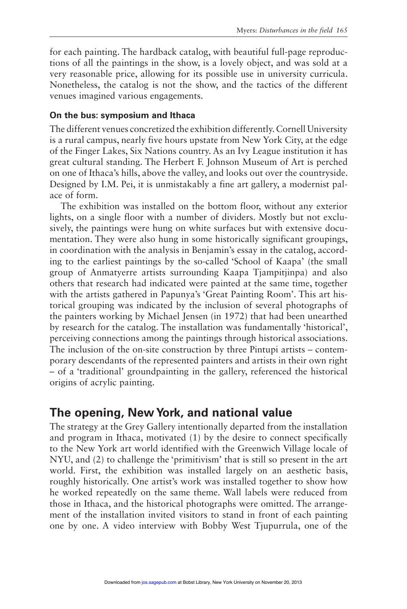for each painting. The hardback catalog, with beautiful full-page reproductions of all the paintings in the show, is a lovely object, and was sold at a very reasonable price, allowing for its possible use in university curricula. Nonetheless, the catalog is not the show, and the tactics of the different venues imagined various engagements.

#### **On the bus: symposium and Ithaca**

The different venues concretized the exhibition differently. Cornell University is a rural campus, nearly five hours upstate from New York City, at the edge of the Finger Lakes, Six Nations country. As an Ivy League institution it has great cultural standing. The Herbert F. Johnson Museum of Art is perched on one of Ithaca's hills, above the valley, and looks out over the countryside. Designed by I.M. Pei, it is unmistakably a fine art gallery, a modernist palace of form.

The exhibition was installed on the bottom floor, without any exterior lights, on a single floor with a number of dividers. Mostly but not exclusively, the paintings were hung on white surfaces but with extensive documentation. They were also hung in some historically significant groupings, in coordination with the analysis in Benjamin's essay in the catalog, according to the earliest paintings by the so-called 'School of Kaapa' (the small group of Anmatyerre artists surrounding Kaapa Tjampitjinpa) and also others that research had indicated were painted at the same time, together with the artists gathered in Papunya's 'Great Painting Room'. This art historical grouping was indicated by the inclusion of several photographs of the painters working by Michael Jensen (in 1972) that had been unearthed by research for the catalog. The installation was fundamentally 'historical', perceiving connections among the paintings through historical associations. The inclusion of the on-site construction by three Pintupi artists – contemporary descendants of the represented painters and artists in their own right – of a 'traditional' groundpainting in the gallery, referenced the historical origins of acrylic painting.

### **The opening, New York, and national value**

The strategy at the Grey Gallery intentionally departed from the installation and program in Ithaca, motivated (1) by the desire to connect specifically to the New York art world identified with the Greenwich Village locale of NYU, and (2) to challenge the 'primitivism' that is still so present in the art world. First, the exhibition was installed largely on an aesthetic basis, roughly historically. One artist's work was installed together to show how he worked repeatedly on the same theme. Wall labels were reduced from those in Ithaca, and the historical photographs were omitted. The arrangement of the installation invited visitors to stand in front of each painting one by one. A video interview with Bobby West Tjupurrula, one of the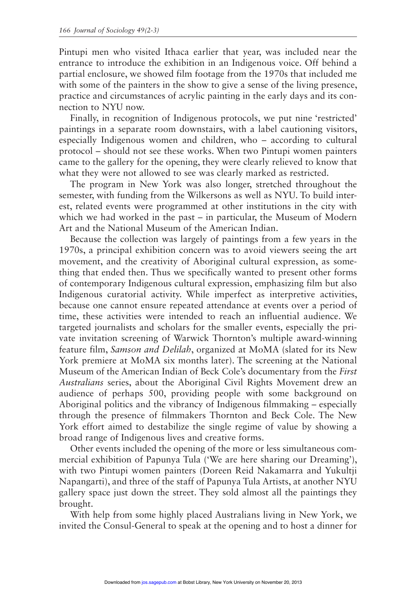Pintupi men who visited Ithaca earlier that year, was included near the entrance to introduce the exhibition in an Indigenous voice. Off behind a partial enclosure, we showed film footage from the 1970s that included me with some of the painters in the show to give a sense of the living presence, practice and circumstances of acrylic painting in the early days and its connection to NYU now.

Finally, in recognition of Indigenous protocols, we put nine 'restricted' paintings in a separate room downstairs, with a label cautioning visitors, especially Indigenous women and children, who – according to cultural protocol – should not see these works. When two Pintupi women painters came to the gallery for the opening, they were clearly relieved to know that what they were not allowed to see was clearly marked as restricted.

The program in New York was also longer, stretched throughout the semester, with funding from the Wilkersons as well as NYU. To build interest, related events were programmed at other institutions in the city with which we had worked in the past – in particular, the Museum of Modern Art and the National Museum of the American Indian.

Because the collection was largely of paintings from a few years in the 1970s, a principal exhibition concern was to avoid viewers seeing the art movement, and the creativity of Aboriginal cultural expression, as something that ended then. Thus we specifically wanted to present other forms of contemporary Indigenous cultural expression, emphasizing film but also Indigenous curatorial activity. While imperfect as interpretive activities, because one cannot ensure repeated attendance at events over a period of time, these activities were intended to reach an influential audience. We targeted journalists and scholars for the smaller events, especially the private invitation screening of Warwick Thornton's multiple award-winning feature film, *Samson and Delilah*, organized at MoMA (slated for its New York premiere at MoMA six months later). The screening at the National Museum of the American Indian of Beck Cole's documentary from the *First Australians* series, about the Aboriginal Civil Rights Movement drew an audience of perhaps 500, providing people with some background on Aboriginal politics and the vibrancy of Indigenous filmmaking – especially through the presence of filmmakers Thornton and Beck Cole. The New York effort aimed to destabilize the single regime of value by showing a broad range of Indigenous lives and creative forms.

Other events included the opening of the more or less simultaneous commercial exhibition of Papunya Tula ('We are here sharing our Dreaming'), with two Pintupi women painters (Doreen Reid Nakamarra and Yukultji Napangarti), and three of the staff of Papunya Tula Artists, at another NYU gallery space just down the street. They sold almost all the paintings they brought.

With help from some highly placed Australians living in New York, we invited the Consul-General to speak at the opening and to host a dinner for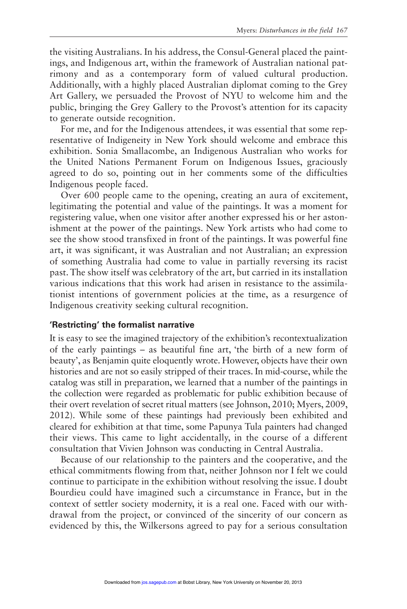the visiting Australians. In his address, the Consul-General placed the paintings, and Indigenous art, within the framework of Australian national patrimony and as a contemporary form of valued cultural production. Additionally, with a highly placed Australian diplomat coming to the Grey Art Gallery, we persuaded the Provost of NYU to welcome him and the public, bringing the Grey Gallery to the Provost's attention for its capacity to generate outside recognition.

For me, and for the Indigenous attendees, it was essential that some representative of Indigeneity in New York should welcome and embrace this exhibition. Sonia Smallacombe, an Indigenous Australian who works for the United Nations Permanent Forum on Indigenous Issues, graciously agreed to do so, pointing out in her comments some of the difficulties Indigenous people faced.

Over 600 people came to the opening, creating an aura of excitement, legitimating the potential and value of the paintings. It was a moment for registering value, when one visitor after another expressed his or her astonishment at the power of the paintings. New York artists who had come to see the show stood transfixed in front of the paintings. It was powerful fine art, it was significant, it was Australian and not Australian; an expression of something Australia had come to value in partially reversing its racist past. The show itself was celebratory of the art, but carried in its installation various indications that this work had arisen in resistance to the assimilationist intentions of government policies at the time, as a resurgence of Indigenous creativity seeking cultural recognition.

#### **'Restricting' the formalist narrative**

It is easy to see the imagined trajectory of the exhibition's recontextualization of the early paintings – as beautiful fine art, 'the birth of a new form of beauty', as Benjamin quite eloquently wrote. However, objects have their own histories and are not so easily stripped of their traces. In mid-course, while the catalog was still in preparation, we learned that a number of the paintings in the collection were regarded as problematic for public exhibition because of their overt revelation of secret ritual matters (see Johnson, 2010; Myers, 2009, 2012). While some of these paintings had previously been exhibited and cleared for exhibition at that time, some Papunya Tula painters had changed their views. This came to light accidentally, in the course of a different consultation that Vivien Johnson was conducting in Central Australia.

Because of our relationship to the painters and the cooperative, and the ethical commitments flowing from that, neither Johnson nor I felt we could continue to participate in the exhibition without resolving the issue. I doubt Bourdieu could have imagined such a circumstance in France, but in the context of settler society modernity, it is a real one. Faced with our withdrawal from the project, or convinced of the sincerity of our concern as evidenced by this, the Wilkersons agreed to pay for a serious consultation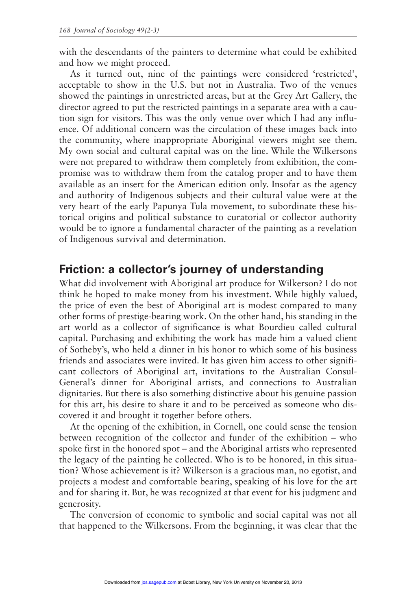with the descendants of the painters to determine what could be exhibited and how we might proceed.

As it turned out, nine of the paintings were considered 'restricted', acceptable to show in the U.S. but not in Australia. Two of the venues showed the paintings in unrestricted areas, but at the Grey Art Gallery, the director agreed to put the restricted paintings in a separate area with a caution sign for visitors. This was the only venue over which I had any influence. Of additional concern was the circulation of these images back into the community, where inappropriate Aboriginal viewers might see them. My own social and cultural capital was on the line. While the Wilkersons were not prepared to withdraw them completely from exhibition, the compromise was to withdraw them from the catalog proper and to have them available as an insert for the American edition only. Insofar as the agency and authority of Indigenous subjects and their cultural value were at the very heart of the early Papunya Tula movement, to subordinate these historical origins and political substance to curatorial or collector authority would be to ignore a fundamental character of the painting as a revelation of Indigenous survival and determination.

# **Friction: a collector's journey of understanding**

What did involvement with Aboriginal art produce for Wilkerson? I do not think he hoped to make money from his investment. While highly valued, the price of even the best of Aboriginal art is modest compared to many other forms of prestige-bearing work. On the other hand, his standing in the art world as a collector of significance is what Bourdieu called cultural capital. Purchasing and exhibiting the work has made him a valued client of Sotheby's, who held a dinner in his honor to which some of his business friends and associates were invited. It has given him access to other significant collectors of Aboriginal art, invitations to the Australian Consul-General's dinner for Aboriginal artists, and connections to Australian dignitaries. But there is also something distinctive about his genuine passion for this art, his desire to share it and to be perceived as someone who discovered it and brought it together before others.

At the opening of the exhibition, in Cornell, one could sense the tension between recognition of the collector and funder of the exhibition – who spoke first in the honored spot – and the Aboriginal artists who represented the legacy of the painting he collected. Who is to be honored, in this situation? Whose achievement is it? Wilkerson is a gracious man, no egotist, and projects a modest and comfortable bearing, speaking of his love for the art and for sharing it. But, he was recognized at that event for his judgment and generosity.

The conversion of economic to symbolic and social capital was not all that happened to the Wilkersons. From the beginning, it was clear that the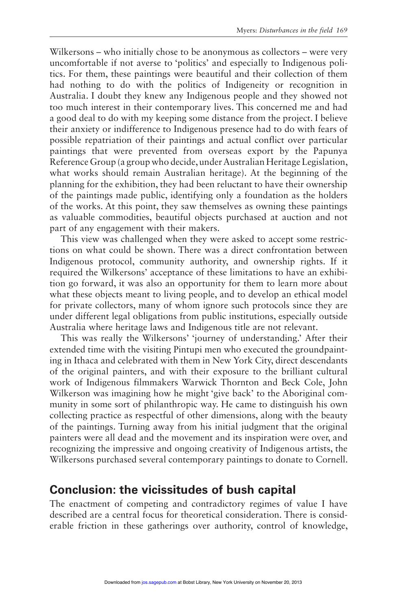Wilkersons – who initially chose to be anonymous as collectors – were very uncomfortable if not averse to 'politics' and especially to Indigenous politics. For them, these paintings were beautiful and their collection of them had nothing to do with the politics of Indigeneity or recognition in Australia. I doubt they knew any Indigenous people and they showed not too much interest in their contemporary lives. This concerned me and had a good deal to do with my keeping some distance from the project. I believe their anxiety or indifference to Indigenous presence had to do with fears of possible repatriation of their paintings and actual conflict over particular paintings that were prevented from overseas export by the Papunya Reference Group (a group who decide, under Australian Heritage Legislation, what works should remain Australian heritage). At the beginning of the planning for the exhibition, they had been reluctant to have their ownership of the paintings made public, identifying only a foundation as the holders of the works. At this point, they saw themselves as owning these paintings as valuable commodities, beautiful objects purchased at auction and not part of any engagement with their makers.

This view was challenged when they were asked to accept some restrictions on what could be shown. There was a direct confrontation between Indigenous protocol, community authority, and ownership rights. If it required the Wilkersons' acceptance of these limitations to have an exhibition go forward, it was also an opportunity for them to learn more about what these objects meant to living people, and to develop an ethical model for private collectors, many of whom ignore such protocols since they are under different legal obligations from public institutions, especially outside Australia where heritage laws and Indigenous title are not relevant.

This was really the Wilkersons' 'journey of understanding.' After their extended time with the visiting Pintupi men who executed the groundpainting in Ithaca and celebrated with them in New York City, direct descendants of the original painters, and with their exposure to the brilliant cultural work of Indigenous filmmakers Warwick Thornton and Beck Cole, John Wilkerson was imagining how he might 'give back' to the Aboriginal community in some sort of philanthropic way. He came to distinguish his own collecting practice as respectful of other dimensions, along with the beauty of the paintings. Turning away from his initial judgment that the original painters were all dead and the movement and its inspiration were over, and recognizing the impressive and ongoing creativity of Indigenous artists, the Wilkersons purchased several contemporary paintings to donate to Cornell.

# **Conclusion: the vicissitudes of bush capital**

The enactment of competing and contradictory regimes of value I have described are a central focus for theoretical consideration. There is considerable friction in these gatherings over authority, control of knowledge,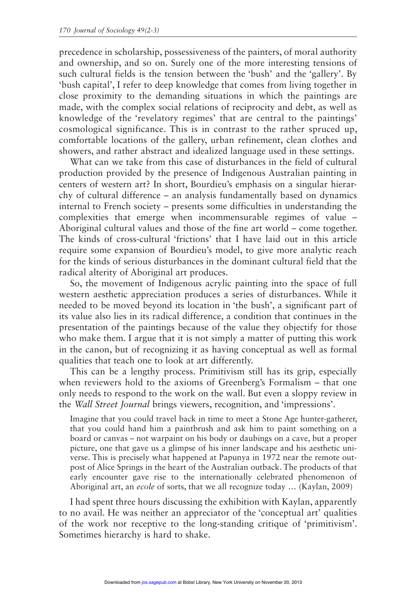precedence in scholarship, possessiveness of the painters, of moral authority and ownership, and so on. Surely one of the more interesting tensions of such cultural fields is the tension between the 'bush' and the 'gallery'. By 'bush capital', I refer to deep knowledge that comes from living together in close proximity to the demanding situations in which the paintings are made, with the complex social relations of reciprocity and debt, as well as knowledge of the 'revelatory regimes' that are central to the paintings' cosmological significance. This is in contrast to the rather spruced up, comfortable locations of the gallery, urban refinement, clean clothes and showers, and rather abstract and idealized language used in these settings.

What can we take from this case of disturbances in the field of cultural production provided by the presence of Indigenous Australian painting in centers of western art? In short, Bourdieu's emphasis on a singular hierarchy of cultural difference – an analysis fundamentally based on dynamics internal to French society – presents some difficulties in understanding the complexities that emerge when incommensurable regimes of value – Aboriginal cultural values and those of the fine art world – come together. The kinds of cross-cultural 'frictions' that I have laid out in this article require some expansion of Bourdieu's model, to give more analytic reach for the kinds of serious disturbances in the dominant cultural field that the radical alterity of Aboriginal art produces.

So, the movement of Indigenous acrylic painting into the space of full western aesthetic appreciation produces a series of disturbances. While it needed to be moved beyond its location in 'the bush', a significant part of its value also lies in its radical difference, a condition that continues in the presentation of the paintings because of the value they objectify for those who make them. I argue that it is not simply a matter of putting this work in the canon, but of recognizing it as having conceptual as well as formal qualities that teach one to look at art differently.

This can be a lengthy process. Primitivism still has its grip, especially when reviewers hold to the axioms of Greenberg's Formalism – that one only needs to respond to the work on the wall. But even a sloppy review in the *Wall Street Journal* brings viewers, recognition, and 'impressions'.

Imagine that you could travel back in time to meet a Stone Age hunter-gatherer, that you could hand him a paintbrush and ask him to paint something on a board or canvas – not warpaint on his body or daubings on a cave, but a proper picture, one that gave us a glimpse of his inner landscape and his aesthetic universe. This is precisely what happened at Papunya in 1972 near the remote outpost of Alice Springs in the heart of the Australian outback. The products of that early encounter gave rise to the internationally celebrated phenomenon of Aboriginal art, an *ecole* of sorts, that we all recognize today … (Kaylan, 2009)

I had spent three hours discussing the exhibition with Kaylan, apparently to no avail. He was neither an appreciator of the 'conceptual art' qualities of the work nor receptive to the long-standing critique of 'primitivism'. Sometimes hierarchy is hard to shake.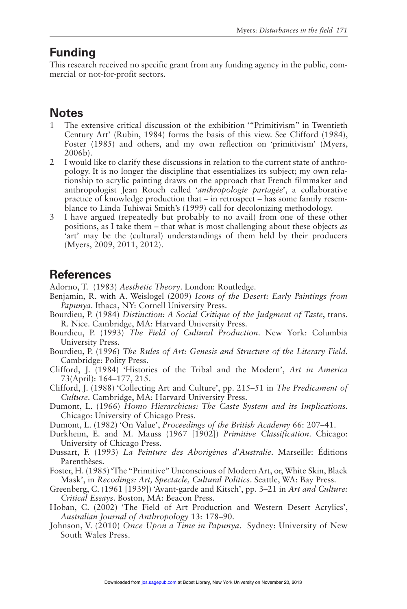# **Funding**

This research received no specific grant from any funding agency in the public, commercial or not-for-profit sectors.

# **Notes**

- 1 The extensive critical discussion of the exhibition '"Primitivism" in Twentieth Century Art' (Rubin, 1984) forms the basis of this view. See Clifford (1984), Foster (1985) and others, and my own reflection on 'primitivism' (Myers, 2006b).
- 2 I would like to clarify these discussions in relation to the current state of anthropology. It is no longer the discipline that essentializes its subject; my own relationship to acrylic painting draws on the approach that French filmmaker and anthropologist Jean Rouch called '*anthropologie partagée*', a collaborative practice of knowledge production that – in retrospect – has some family resemblance to Linda Tuhiwai Smith's (1999) call for decolonizing methodology.
- 3 I have argued (repeatedly but probably to no avail) from one of these other positions, as I take them – that what is most challenging about these objects *as* 'art' may be the (cultural) understandings of them held by their producers (Myers, 2009, 2011, 2012).

# **References**

Adorno, T. (1983) *Aesthetic Theory*. London: Routledge.

- Benjamin, R. with A. Weislogel (2009) *Icons of the Desert: Early Paintings from Papunya*. Ithaca, NY: Cornell University Press.
- Bourdieu, P. (1984) *Distinction: A Social Critique of the Judgment of Taste*, trans. R. Nice. Cambridge, MA: Harvard University Press.
- Bourdieu, P. (1993) *The Field of Cultural Production*. New York: Columbia University Press.
- Bourdieu, P. (1996) *The Rules of Art: Genesis and Structure of the Literary Field*. Cambridge: Polity Press.
- Clifford, J. (1984) 'Histories of the Tribal and the Modern', *Art in America* 73(April): 164–177, 215.

Clifford, J. (1988) 'Collecting Art and Culture', pp. 215–51 in *The Predicament of Culture*. Cambridge, MA: Harvard University Press.

- Dumont, L. (1966) *Homo Hierarchicus: The Caste System and its Implications*. Chicago: University of Chicago Press.
- Dumont, L. (1982) 'On Value', *Proceedings of the British Academy* 66: 207–41.
- Durkheim, E. and M. Mauss (1967 [1902]) *Primitive Classification*. Chicago: University of Chicago Press.
- Dussart, F. (1993) *La Peinture des Aborigènes d'Australie*. Marseille: Éditions Parenthèses.
- Foster, H. (1985) 'The "Primitive" Unconscious of Modern Art, or, White Skin, Black Mask', in *Recodings: Art, Spectacle, Cultural Politics*. Seattle, WA: Bay Press.
- Greenberg, C. (1961 [1939]) 'Avant-garde and Kitsch', pp. 3–21 in *Art and Culture: Critical Essays*. Boston, MA: Beacon Press.
- Hoban, C. (2002) 'The Field of Art Production and Western Desert Acrylics', *Australian Journal of Anthropology* 13: 178–90.
- Johnson, V. (2010) *Once Upon a Time in Papunya*. Sydney: University of New South Wales Press.